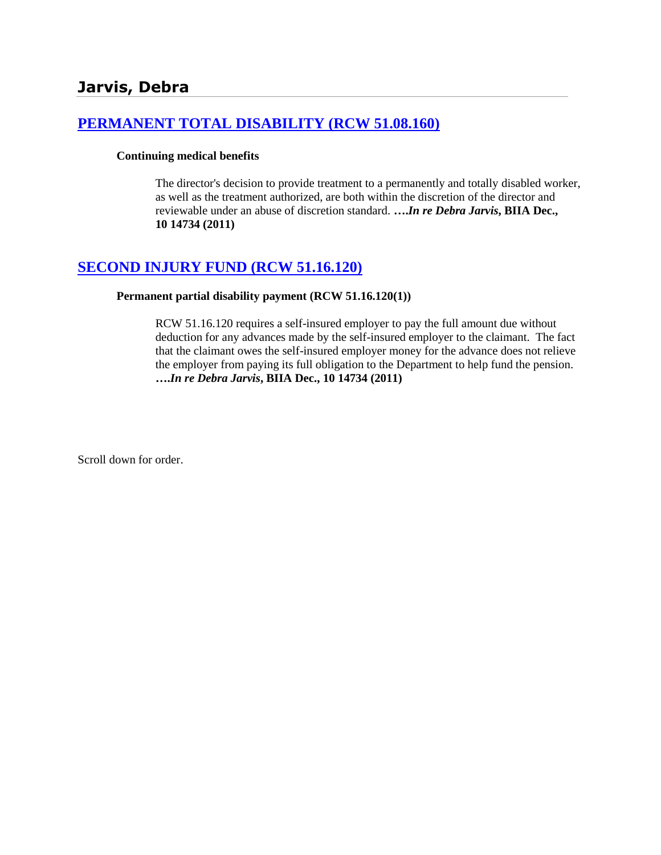# **[PERMANENT TOTAL DISABILITY \(RCW 51.08.160\)](http://www.biia.wa.gov/SDSubjectIndex.html#PERMANENT_TOTAL_DISABILITY)**

### **Continuing medical benefits**

The director's decision to provide treatment to a permanently and totally disabled worker, as well as the treatment authorized, are both within the discretion of the director and reviewable under an abuse of discretion standard. **….***In re Debra Jarvis***, BIIA Dec., 10 14734 (2011)**

# **[SECOND INJURY FUND \(RCW 51.16.120\)](http://www.biia.wa.gov/SDSubjectIndex.html#SECOND_INJURY_FUND)**

### **Permanent partial disability payment (RCW 51.16.120(1))**

RCW 51.16.120 requires a self-insured employer to pay the full amount due without deduction for any advances made by the self-insured employer to the claimant. The fact that the claimant owes the self-insured employer money for the advance does not relieve the employer from paying its full obligation to the Department to help fund the pension. **….***In re Debra Jarvis***, BIIA Dec., 10 14734 (2011)**

Scroll down for order.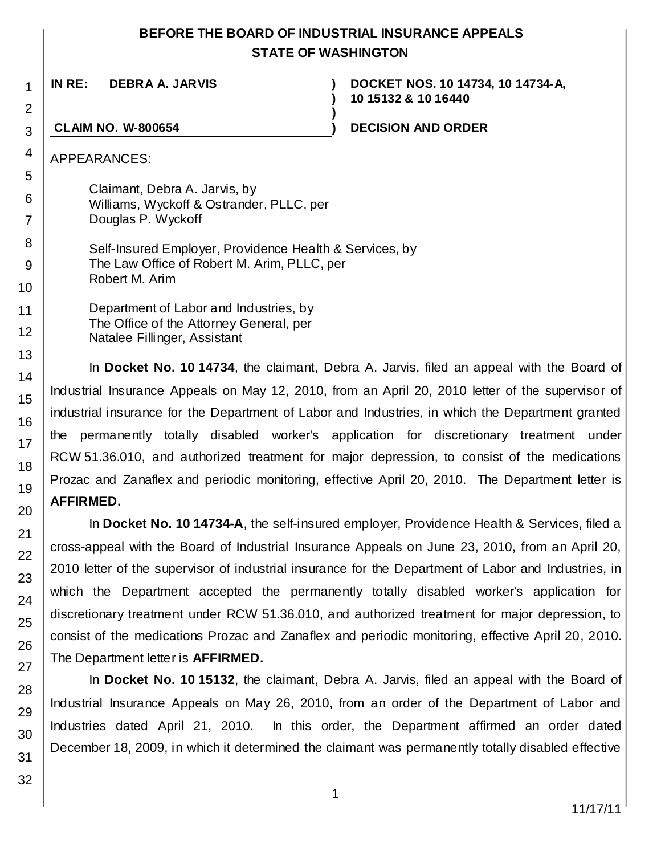# **BEFORE THE BOARD OF INDUSTRIAL INSURANCE APPEALS STATE OF WASHINGTON**

**)**

**)**

**IN RE: DEBRA A. JARVIS )**

**DOCKET NOS. 10 14734, 10 14734-A, 10 15132 & 10 16440**

### **CLAIM NO. W-800654 ) DECISION AND ORDER**

APPEARANCES:

1

2

3

4

5

6 7

8 9

10

11 12

13 14

15

16

17

18 19

20

21 22

23

Claimant, Debra A. Jarvis, by Williams, Wyckoff & Ostrander, PLLC, per Douglas P. Wyckoff

Self-Insured Employer, Providence Health & Services, by The Law Office of Robert M. Arim, PLLC, per Robert M. Arim

Department of Labor and Industries, by The Office of the Attorney General, per Natalee Fillinger, Assistant

In **Docket No. 10 14734**, the claimant, Debra A. Jarvis, filed an appeal with the Board of Industrial Insurance Appeals on May 12, 2010, from an April 20, 2010 letter of the supervisor of industrial insurance for the Department of Labor and Industries, in which the Department granted the permanently totally disabled worker's application for discretionary treatment under RCW 51.36.010, and authorized treatment for major depression, to consist of the medications Prozac and Zanaflex and periodic monitoring, effective April 20, 2010. The Department letter is **AFFIRMED.**

In **Docket No. 10 14734-A**, the self-insured employer, Providence Health & Services, filed a cross-appeal with the Board of Industrial Insurance Appeals on June 23, 2010, from an April 20, 2010 letter of the supervisor of industrial insurance for the Department of Labor and Industries, in which the Department accepted the permanently totally disabled worker's application for discretionary treatment under RCW 51.36.010, and authorized treatment for major depression, to consist of the medications Prozac and Zanaflex and periodic monitoring, effective April 20, 2010. The Department letter is **AFFIRMED.**

In **Docket No. 10 15132**, the claimant, Debra A. Jarvis, filed an appeal with the Board of Industrial Insurance Appeals on May 26, 2010, from an order of the Department of Labor and Industries dated April 21, 2010. In this order, the Department affirmed an order dated December 18, 2009, in which it determined the claimant was permanently totally disabled effective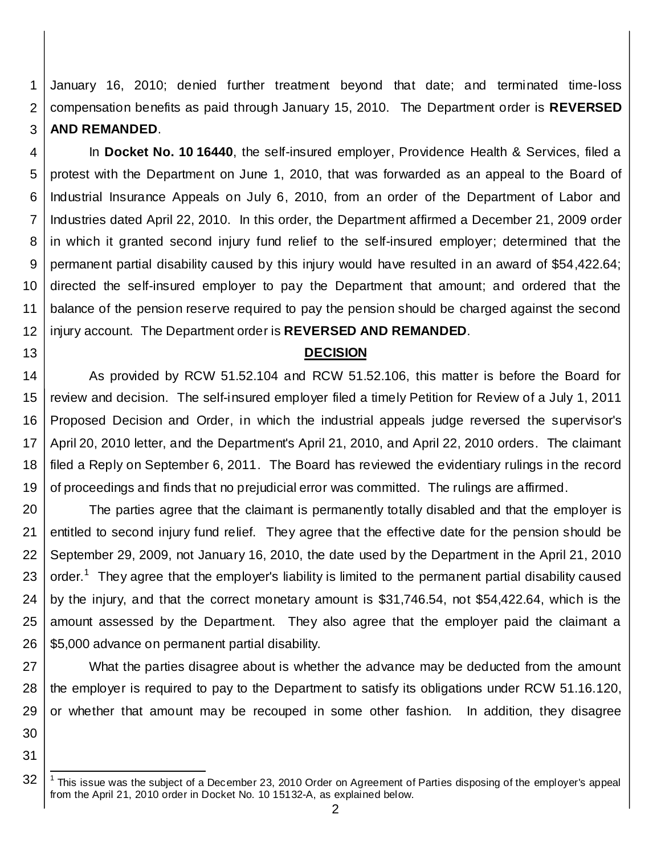1 2 3 January 16, 2010; denied further treatment beyond that date; and terminated time-loss compensation benefits as paid through January 15, 2010. The Department order is **REVERSED AND REMANDED**.

4 5 6 7 8 9 10 11 12 In **Docket No. 10 16440**, the self-insured employer, Providence Health & Services, filed a protest with the Department on June 1, 2010, that was forwarded as an appeal to the Board of Industrial Insurance Appeals on July 6, 2010, from an order of the Department of Labor and Industries dated April 22, 2010. In this order, the Department affirmed a December 21, 2009 order in which it granted second injury fund relief to the self-insured employer; determined that the permanent partial disability caused by this injury would have resulted in an award of \$54,422.64; directed the self-insured employer to pay the Department that amount; and ordered that the balance of the pension reserve required to pay the pension should be charged against the second injury account. The Department order is **REVERSED AND REMANDED**.

### **DECISION**

14 15 16 17 18 19 As provided by RCW 51.52.104 and RCW 51.52.106, this matter is before the Board for review and decision. The self-insured employer filed a timely Petition for Review of a July 1, 2011 Proposed Decision and Order, in which the industrial appeals judge reversed the supervisor's April 20, 2010 letter, and the Department's April 21, 2010, and April 22, 2010 orders. The claimant filed a Reply on September 6, 2011. The Board has reviewed the evidentiary rulings in the record of proceedings and finds that no prejudicial error was committed. The rulings are affirmed.

20 21 22 23 24 25 26 The parties agree that the claimant is permanently totally disabled and that the employer is entitled to second injury fund relief. They agree that the effective date for the pension should be September 29, 2009, not January 16, 2010, the date used by the Department in the April 21, 2010 order.<sup>[1](#page-2-0)</sup> They agree that the employer's liability is limited to the permanent partial disability caused by the injury, and that the correct monetary amount is \$31,746.54, not \$54,422.64, which is the amount assessed by the Department. They also agree that the employer paid the claimant a \$5,000 advance on permanent partial disability.

27 28 29 What the parties disagree about is whether the advance may be deducted from the amount the employer is required to pay to the Department to satisfy its obligations under RCW 51.16.120, or whether that amount may be recouped in some other fashion. In addition, they disagree

30 31

<span id="page-2-0"></span><sup>32</sup>  $1$  This issue was the subject of a December 23, 2010 Order on Agreement of Parties disposing of the employer's appeal from the April 21, 2010 order in Docket No. 10 15132-A, as explained below.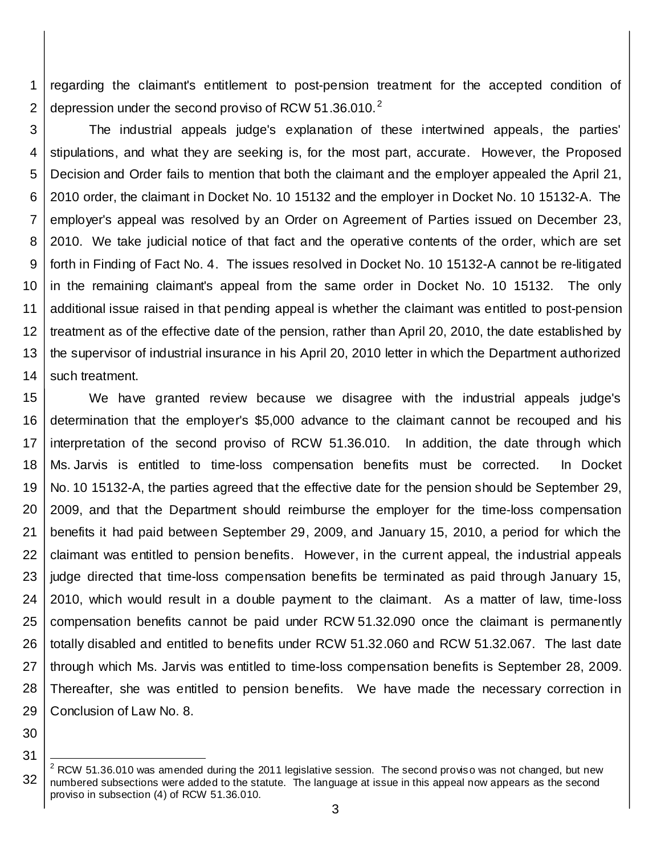1 2 regarding the claimant's entitlement to post-pension treatment for the accepted condition of depression under the second proviso of RCW 51.36.010.<sup>[2](#page-3-0)</sup>

3 4 5 6 7 8 9 10 11 12 13 14 The industrial appeals judge's explanation of these intertwined appeals, the parties' stipulations, and what they are seeking is, for the most part, accurate. However, the Proposed Decision and Order fails to mention that both the claimant and the employer appealed the April 21, 2010 order, the claimant in Docket No. 10 15132 and the employer in Docket No. 10 15132-A. The employer's appeal was resolved by an Order on Agreement of Parties issued on December 23, 2010. We take judicial notice of that fact and the operative contents of the order, which are set forth in Finding of Fact No. 4. The issues resolved in Docket No. 10 15132-A cannot be re-litigated in the remaining claimant's appeal from the same order in Docket No. 10 15132. The only additional issue raised in that pending appeal is whether the claimant was entitled to post-pension treatment as of the effective date of the pension, rather than April 20, 2010, the date established by the supervisor of industrial insurance in his April 20, 2010 letter in which the Department authorized such treatment.

15 16 17 18 19 20 21 22 23 24 25 26 27 28 29 We have granted review because we disagree with the industrial appeals judge's determination that the employer's \$5,000 advance to the claimant cannot be recouped and his interpretation of the second proviso of RCW 51.36.010. In addition, the date through which Ms. Jarvis is entitled to time-loss compensation benefits must be corrected. In Docket No. 10 15132-A, the parties agreed that the effective date for the pension should be September 29, 2009, and that the Department should reimburse the employer for the time-loss compensation benefits it had paid between September 29, 2009, and January 15, 2010, a period for which the claimant was entitled to pension benefits. However, in the current appeal, the industrial appeals judge directed that time-loss compensation benefits be terminated as paid through January 15, 2010, which would result in a double payment to the claimant. As a matter of law, time-loss compensation benefits cannot be paid under RCW 51.32.090 once the claimant is permanently totally disabled and entitled to benefits under RCW 51.32.060 and RCW 51.32.067. The last date through which Ms. Jarvis was entitled to time-loss compensation benefits is September 28, 2009. Thereafter, she was entitled to pension benefits. We have made the necessary correction in Conclusion of Law No. 8.

30

<span id="page-3-0"></span><sup>32</sup>  $2$  RCW 51.36.010 was amended during the 2011 legislative session. The second proviso was not changed, but new numbered subsections were added to the statute. The language at issue in this appeal now appears as the second proviso in subsection (4) of RCW 51.36.010.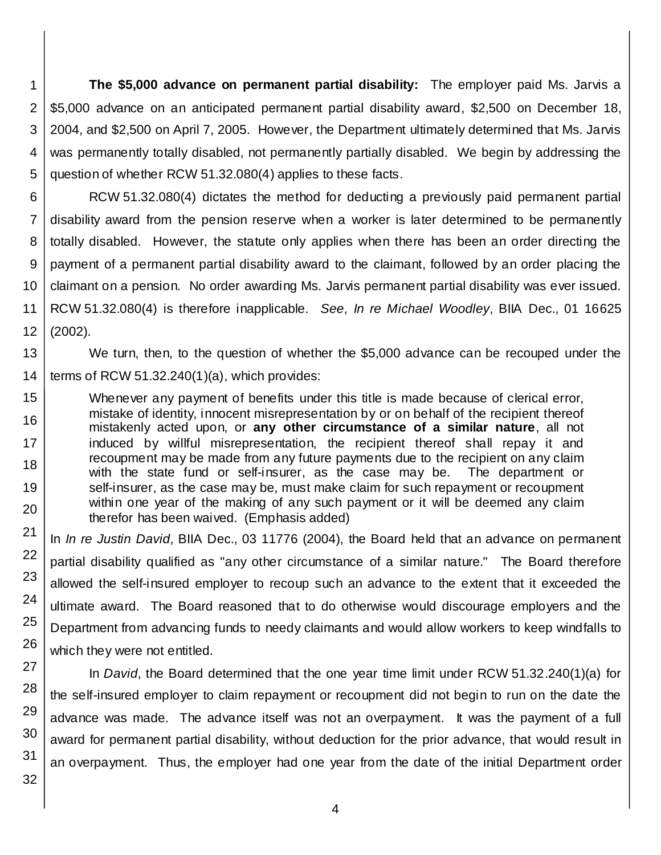1 2 3 4 5 **The \$5,000 advance on permanent partial disability:** The employer paid Ms. Jarvis a \$5,000 advance on an anticipated permanent partial disability award, \$2,500 on December 18, 2004, and \$2,500 on April 7, 2005. However, the Department ultimately determined that Ms. Jarvis was permanently totally disabled, not permanently partially disabled. We begin by addressing the question of whether RCW 51.32.080(4) applies to these facts.

6 7 8 9 10 11 12 RCW 51.32.080(4) dictates the method for deducting a previously paid permanent partial disability award from the pension reserve when a worker is later determined to be permanently totally disabled. However, the statute only applies when there has been an order directing the payment of a permanent partial disability award to the claimant, followed by an order placing the claimant on a pension. No order awarding Ms. Jarvis permanent partial disability was ever issued. RCW 51.32.080(4) is therefore inapplicable. *See*, *In re Michael Woodley*, BIIA Dec., 01 16625 (2002).

13 14 We turn, then, to the question of whether the \$5,000 advance can be recouped under the terms of RCW 51.32.240(1)(a), which provides:

Whenever any payment of benefits under this title is made because of clerical error, mistake of identity, innocent misrepresentation by or on behalf of the recipient thereof mistakenly acted upon, or **any other circumstance of a similar nature**, all not induced by willful misrepresentation, the recipient thereof shall repay it and recoupment may be made from any future payments due to the recipient on any claim with the state fund or self-insurer, as the case may be. The department or self-insurer, as the case may be, must make claim for such repayment or recoupment within one year of the making of any such payment or it will be deemed any claim therefor has been waived. (Emphasis added)

In *In re Justin David*, BIIA Dec., 03 11776 (2004), the Board held that an advance on permanent partial disability qualified as "any other circumstance of a similar nature." The Board therefore allowed the self-insured employer to recoup such an advance to the extent that it exceeded the ultimate award. The Board reasoned that to do otherwise would discourage employers and the Department from advancing funds to needy claimants and would allow workers to keep windfalls to which they were not entitled.

In *David*, the Board determined that the one year time limit under RCW 51.32.240(1)(a) for the self-insured employer to claim repayment or recoupment did not begin to run on the date the advance was made. The advance itself was not an overpayment. It was the payment of a full award for permanent partial disability, without deduction for the prior advance, that would result in an overpayment. Thus, the employer had one year from the date of the initial Department order

31 32

15

16

17

18

19

20

21

22

23

24

25

26

27

28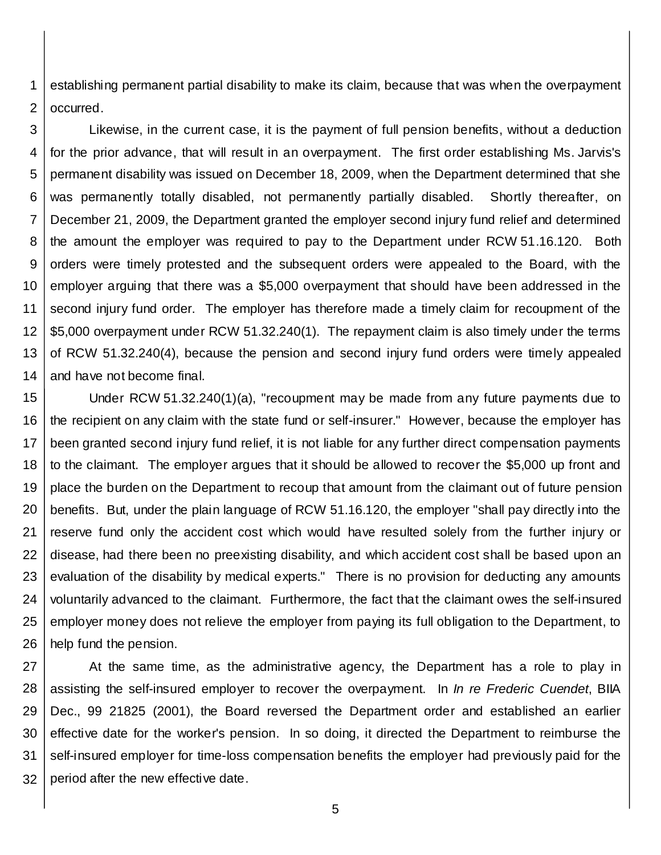1 2 establishing permanent partial disability to make its claim, because that was when the overpayment occurred.

3 4 5 6 7 8 9 10 11 12 13 14 Likewise, in the current case, it is the payment of full pension benefits, without a deduction for the prior advance, that will result in an overpayment. The first order establishing Ms. Jarvis's permanent disability was issued on December 18, 2009, when the Department determined that she was permanently totally disabled, not permanently partially disabled. Shortly thereafter, on December 21, 2009, the Department granted the employer second injury fund relief and determined the amount the employer was required to pay to the Department under RCW 51.16.120. Both orders were timely protested and the subsequent orders were appealed to the Board, with the employer arguing that there was a \$5,000 overpayment that should have been addressed in the second injury fund order. The employer has therefore made a timely claim for recoupment of the \$5,000 overpayment under RCW 51.32.240(1). The repayment claim is also timely under the terms of RCW 51.32.240(4), because the pension and second injury fund orders were timely appealed and have not become final.

15 16 17 18 19 20 21 22 23 24 25 26 Under RCW 51.32.240(1)(a), "recoupment may be made from any future payments due to the recipient on any claim with the state fund or self-insurer." However, because the employer has been granted second injury fund relief, it is not liable for any further direct compensation payments to the claimant. The employer argues that it should be allowed to recover the \$5,000 up front and place the burden on the Department to recoup that amount from the claimant out of future pension benefits. But, under the plain language of RCW 51.16.120, the employer "shall pay directly into the reserve fund only the accident cost which would have resulted solely from the further injury or disease, had there been no preexisting disability, and which accident cost shall be based upon an evaluation of the disability by medical experts." There is no provision for deducting any amounts voluntarily advanced to the claimant. Furthermore, the fact that the claimant owes the self-insured employer money does not relieve the employer from paying its full obligation to the Department, to help fund the pension.

27 28 29 30 31 32 At the same time, as the administrative agency, the Department has a role to play in assisting the self-insured employer to recover the overpayment. In *In re Frederic Cuendet*, BIIA Dec., 99 21825 (2001), the Board reversed the Department order and established an earlier effective date for the worker's pension. In so doing, it directed the Department to reimburse the self-insured employer for time-loss compensation benefits the employer had previously paid for the period after the new effective date.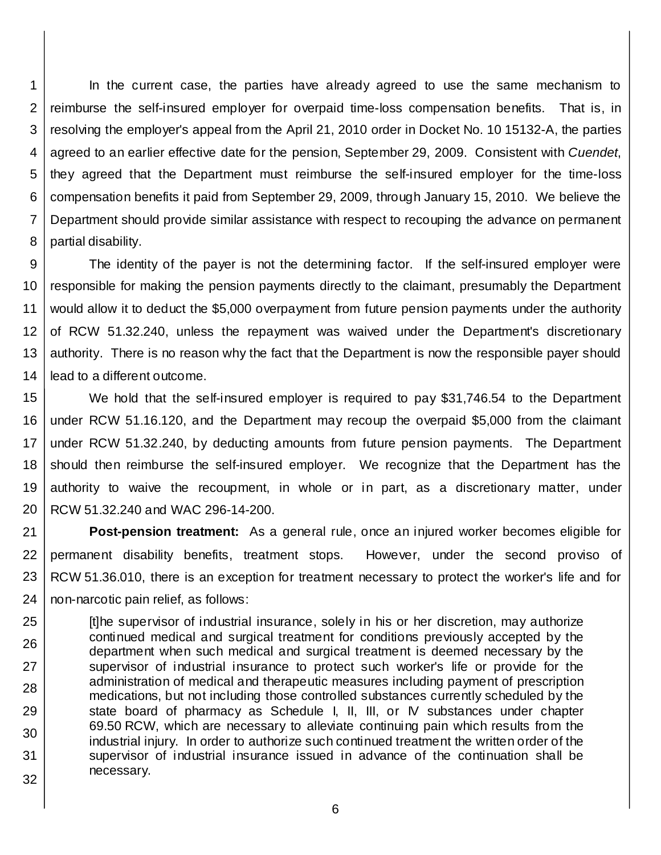1 2 3 4 5 6 7 8 In the current case, the parties have already agreed to use the same mechanism to reimburse the self-insured employer for overpaid time-loss compensation benefits. That is, in resolving the employer's appeal from the April 21, 2010 order in Docket No. 10 15132-A, the parties agreed to an earlier effective date for the pension, September 29, 2009. Consistent with *Cuendet*, they agreed that the Department must reimburse the self-insured employer for the time-loss compensation benefits it paid from September 29, 2009, through January 15, 2010. We believe the Department should provide similar assistance with respect to recouping the advance on permanent partial disability.

9 10 11 12 13 14 The identity of the payer is not the determining factor. If the self-insured employer were responsible for making the pension payments directly to the claimant, presumably the Department would allow it to deduct the \$5,000 overpayment from future pension payments under the authority of RCW 51.32.240, unless the repayment was waived under the Department's discretionary authority. There is no reason why the fact that the Department is now the responsible payer should lead to a different outcome.

15 16 17 18 19 20 We hold that the self-insured employer is required to pay \$31,746.54 to the Department under RCW 51.16.120, and the Department may recoup the overpaid \$5,000 from the claimant under RCW 51.32.240, by deducting amounts from future pension payments. The Department should then reimburse the self-insured employer. We recognize that the Department has the authority to waive the recoupment, in whole or in part, as a discretionary matter, under RCW 51.32.240 and WAC 296-14-200.

21 22 23 24 **Post-pension treatment:** As a general rule, once an injured worker becomes eligible for permanent disability benefits, treatment stops. However, under the second proviso of RCW 51.36.010, there is an exception for treatment necessary to protect the worker's life and for non-narcotic pain relief, as follows:

25 26 27 28 29 30 31 32 [t]he supervisor of industrial insurance, solely in his or her discretion, may authorize continued medical and surgical treatment for conditions previously accepted by the department when such medical and surgical treatment is deemed necessary by the supervisor of industrial insurance to protect such worker's life or provide for the administration of medical and therapeutic measures including payment of prescription medications, but not including those controlled substances currently scheduled by the state board of pharmacy as Schedule I, II, III, or IV substances under chapter 69.50 RCW, which are necessary to alleviate continuing pain which results from the industrial injury. In order to authorize such continued treatment the written order of the supervisor of industrial insurance issued in advance of the continuation shall be necessary.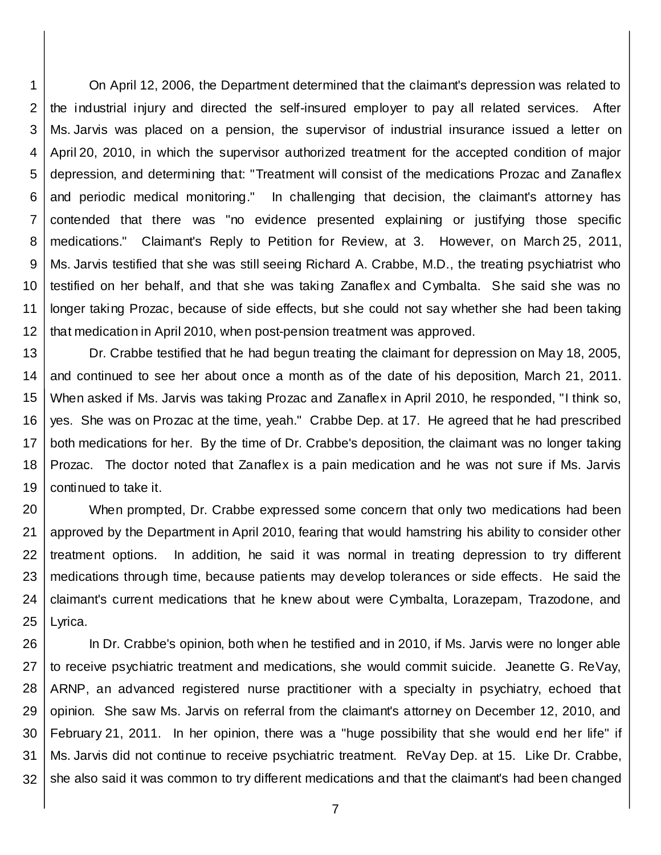1 2 3 4 5 6 7 8 9 10 11 12 On April 12, 2006, the Department determined that the claimant's depression was related to the industrial injury and directed the self-insured employer to pay all related services. After Ms. Jarvis was placed on a pension, the supervisor of industrial insurance issued a letter on April 20, 2010, in which the supervisor authorized treatment for the accepted condition of major depression, and determining that: "Treatment will consist of the medications Prozac and Zanaflex and periodic medical monitoring." In challenging that decision, the claimant's attorney has contended that there was "no evidence presented explaining or justifying those specific medications." Claimant's Reply to Petition for Review, at 3. However, on March 25, 2011, Ms. Jarvis testified that she was still seeing Richard A. Crabbe, M.D., the treating psychiatrist who testified on her behalf, and that she was taking Zanaflex and Cymbalta. She said she was no longer taking Prozac, because of side effects, but she could not say whether she had been taking that medication in April 2010, when post-pension treatment was approved.

13 14 15 16 17 18 19 Dr. Crabbe testified that he had begun treating the claimant for depression on May 18, 2005, and continued to see her about once a month as of the date of his deposition, March 21, 2011. When asked if Ms. Jarvis was taking Prozac and Zanaflex in April 2010, he responded, "I think so, yes. She was on Prozac at the time, yeah." Crabbe Dep. at 17. He agreed that he had prescribed both medications for her. By the time of Dr. Crabbe's deposition, the claimant was no longer taking Prozac. The doctor noted that Zanaflex is a pain medication and he was not sure if Ms. Jarvis continued to take it.

20 21 22 23 24 25 When prompted, Dr. Crabbe expressed some concern that only two medications had been approved by the Department in April 2010, fearing that would hamstring his ability to consider other treatment options. In addition, he said it was normal in treating depression to try different medications through time, because patients may develop tolerances or side effects. He said the claimant's current medications that he knew about were Cymbalta, Lorazepam, Trazodone, and Lyrica.

26 27 28 29 30 31 32 In Dr. Crabbe's opinion, both when he testified and in 2010, if Ms. Jarvis were no longer able to receive psychiatric treatment and medications, she would commit suicide. Jeanette G. ReVay, ARNP, an advanced registered nurse practitioner with a specialty in psychiatry, echoed that opinion. She saw Ms. Jarvis on referral from the claimant's attorney on December 12, 2010, and February 21, 2011. In her opinion, there was a "huge possibility that she would end her life" if Ms. Jarvis did not continue to receive psychiatric treatment. ReVay Dep. at 15. Like Dr. Crabbe, she also said it was common to try different medications and that the claimant's had been changed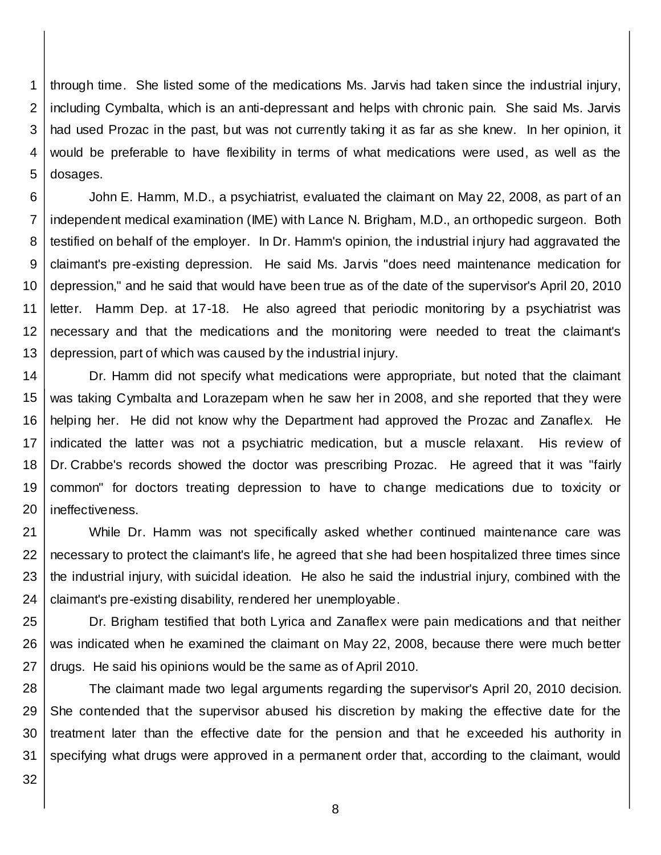1 2 3 4 5 through time. She listed some of the medications Ms. Jarvis had taken since the industrial injury, including Cymbalta, which is an anti-depressant and helps with chronic pain. She said Ms. Jarvis had used Prozac in the past, but was not currently taking it as far as she knew. In her opinion, it would be preferable to have flexibility in terms of what medications were used, as well as the dosages.

6 7 8 9 10 11 12 13 John E. Hamm, M.D., a psychiatrist, evaluated the claimant on May 22, 2008, as part of an independent medical examination (IME) with Lance N. Brigham, M.D., an orthopedic surgeon. Both testified on behalf of the employer. In Dr. Hamm's opinion, the industrial injury had aggravated the claimant's pre-existing depression. He said Ms. Jarvis "does need maintenance medication for depression," and he said that would have been true as of the date of the supervisor's April 20, 2010 letter. Hamm Dep. at 17-18. He also agreed that periodic monitoring by a psychiatrist was necessary and that the medications and the monitoring were needed to treat the claimant's depression, part of which was caused by the industrial injury.

14 15 16 17 18 19 20 Dr. Hamm did not specify what medications were appropriate, but noted that the claimant was taking Cymbalta and Lorazepam when he saw her in 2008, and she reported that they were helping her. He did not know why the Department had approved the Prozac and Zanaflex. He indicated the latter was not a psychiatric medication, but a muscle relaxant. His review of Dr. Crabbe's records showed the doctor was prescribing Prozac. He agreed that it was "fairly common" for doctors treating depression to have to change medications due to toxicity or ineffectiveness.

21 22 23 24 While Dr. Hamm was not specifically asked whether continued maintenance care was necessary to protect the claimant's life, he agreed that she had been hospitalized three times since the industrial injury, with suicidal ideation. He also he said the industrial injury, combined with the claimant's pre-existing disability, rendered her unemployable.

25 26 27 Dr. Brigham testified that both Lyrica and Zanaflex were pain medications and that neither was indicated when he examined the claimant on May 22, 2008, because there were much better drugs. He said his opinions would be the same as of April 2010.

28 29 30 31 The claimant made two legal arguments regarding the supervisor's April 20, 2010 decision. She contended that the supervisor abused his discretion by making the effective date for the treatment later than the effective date for the pension and that he exceeded his authority in specifying what drugs were approved in a permanent order that, according to the claimant, would

32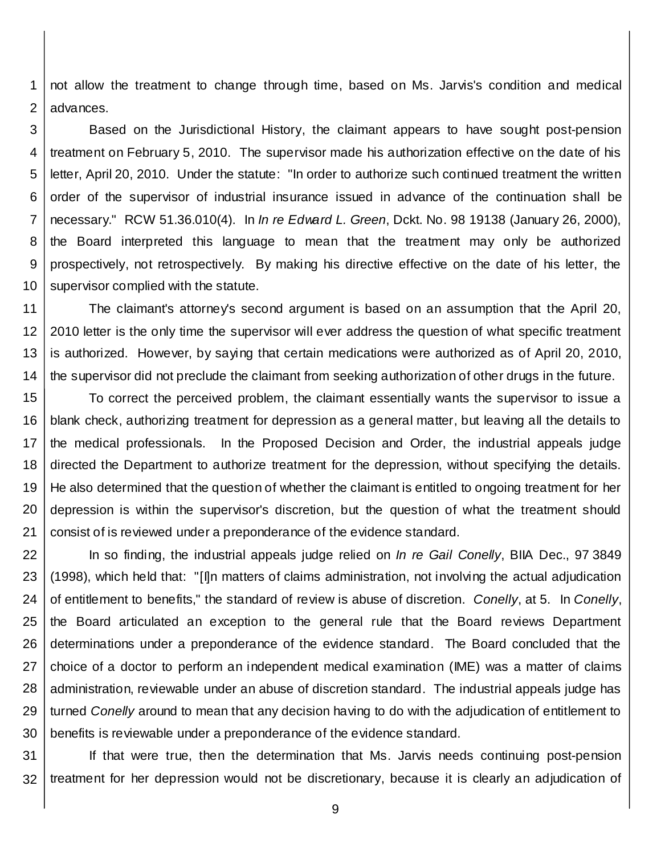1 2 not allow the treatment to change through time, based on Ms. Jarvis's condition and medical advances.

3 4 5 6 7 8 9 10 Based on the Jurisdictional History, the claimant appears to have sought post-pension treatment on February 5, 2010. The supervisor made his authorization effective on the date of his letter, April 20, 2010. Under the statute: "In order to authorize such continued treatment the written order of the supervisor of industrial insurance issued in advance of the continuation shall be necessary." RCW 51.36.010(4). In *In re Edward L. Green*, Dckt. No. 98 19138 (January 26, 2000), the Board interpreted this language to mean that the treatment may only be authorized prospectively, not retrospectively. By making his directive effective on the date of his letter, the supervisor complied with the statute.

11 12 13 14 The claimant's attorney's second argument is based on an assumption that the April 20, 2010 letter is the only time the supervisor will ever address the question of what specific treatment is authorized. However, by saying that certain medications were authorized as of April 20, 2010, the supervisor did not preclude the claimant from seeking authorization of other drugs in the future.

15 16 17 18 19 20 21 To correct the perceived problem, the claimant essentially wants the supervisor to issue a blank check, authorizing treatment for depression as a general matter, but leaving all the details to the medical professionals. In the Proposed Decision and Order, the industrial appeals judge directed the Department to authorize treatment for the depression, without specifying the details. He also determined that the question of whether the claimant is entitled to ongoing treatment for her depression is within the supervisor's discretion, but the question of what the treatment should consist of is reviewed under a preponderance of the evidence standard.

22 23 24 25 26 27 28 29 30 In so finding, the industrial appeals judge relied on *In re Gail Conelly*, BIIA Dec., 97 3849 (1998), which held that: "[I]n matters of claims administration, not involving the actual adjudication of entitlement to benefits," the standard of review is abuse of discretion. *Conelly*, at 5. In *Conelly*, the Board articulated an exception to the general rule that the Board reviews Department determinations under a preponderance of the evidence standard. The Board concluded that the choice of a doctor to perform an independent medical examination (IME) was a matter of claims administration, reviewable under an abuse of discretion standard. The industrial appeals judge has turned *Conelly* around to mean that any decision having to do with the adjudication of entitlement to benefits is reviewable under a preponderance of the evidence standard.

31 32 If that were true, then the determination that Ms. Jarvis needs continuing post-pension treatment for her depression would not be discretionary, because it is clearly an adjudication of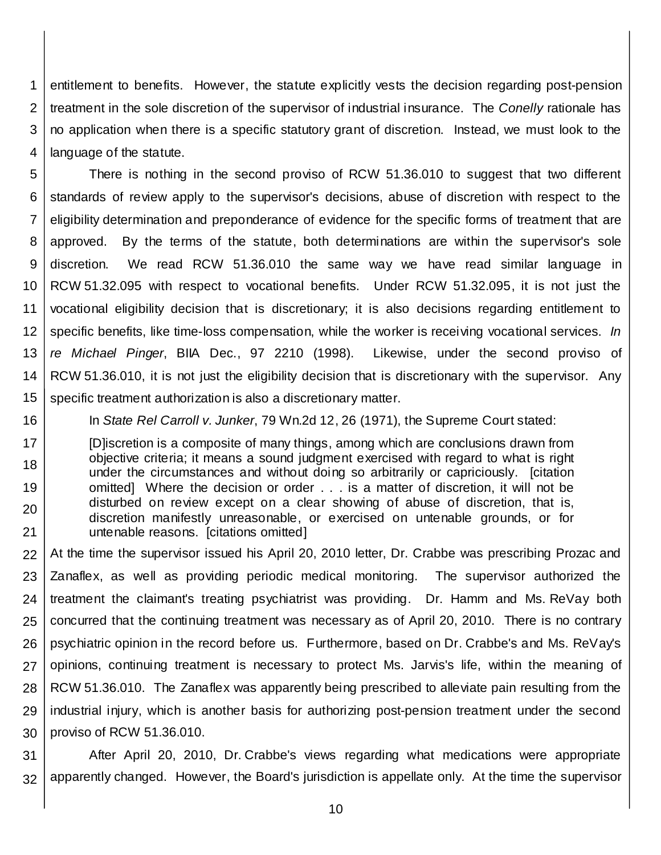1 2 3 4 entitlement to benefits. However, the statute explicitly vests the decision regarding post-pension treatment in the sole discretion of the supervisor of industrial insurance. The *Conelly* rationale has no application when there is a specific statutory grant of discretion. Instead, we must look to the language of the statute.

5 6 7 8 9 10 11 12 13 14 15 There is nothing in the second proviso of RCW 51.36.010 to suggest that two different standards of review apply to the supervisor's decisions, abuse of discretion with respect to the eligibility determination and preponderance of evidence for the specific forms of treatment that are approved. By the terms of the statute, both determinations are within the supervisor's sole discretion. We read RCW 51.36.010 the same way we have read similar language in RCW 51.32.095 with respect to vocational benefits. Under RCW 51.32.095, it is not just the vocational eligibility decision that is discretionary; it is also decisions regarding entitlement to specific benefits, like time-loss compensation, while the worker is receiving vocational services. *In re Michael Pinger*, BIIA Dec., 97 2210 (1998). Likewise, under the second proviso of RCW 51.36.010, it is not just the eligibility decision that is discretionary with the supervisor. Any specific treatment authorization is also a discretionary matter.

16

In *State Rel Carroll v. Junker*, 79 Wn.2d 12, 26 (1971), the Supreme Court stated:

17 18 19 20 21 [D]iscretion is a composite of many things, among which are conclusions drawn from objective criteria; it means a sound judgment exercised with regard to what is right under the circumstances and without doing so arbitrarily or capriciously. [citation omitted] Where the decision or order . . . is a matter of discretion, it will not be disturbed on review except on a clear showing of abuse of discretion, that is, discretion manifestly unreasonable, or exercised on untenable grounds, or for untenable reasons. [citations omitted]

22 23 24 25 26 27 28 29 30 At the time the supervisor issued his April 20, 2010 letter, Dr. Crabbe was prescribing Prozac and Zanaflex, as well as providing periodic medical monitoring. The supervisor authorized the treatment the claimant's treating psychiatrist was providing. Dr. Hamm and Ms. ReVay both concurred that the continuing treatment was necessary as of April 20, 2010. There is no contrary psychiatric opinion in the record before us. Furthermore, based on Dr. Crabbe's and Ms. ReVay's opinions, continuing treatment is necessary to protect Ms. Jarvis's life, within the meaning of RCW 51.36.010. The Zanaflex was apparently being prescribed to alleviate pain resulting from the industrial injury, which is another basis for authorizing post-pension treatment under the second proviso of RCW 51.36.010.

31 32 After April 20, 2010, Dr. Crabbe's views regarding what medications were appropriate apparently changed. However, the Board's jurisdiction is appellate only. At the time the supervisor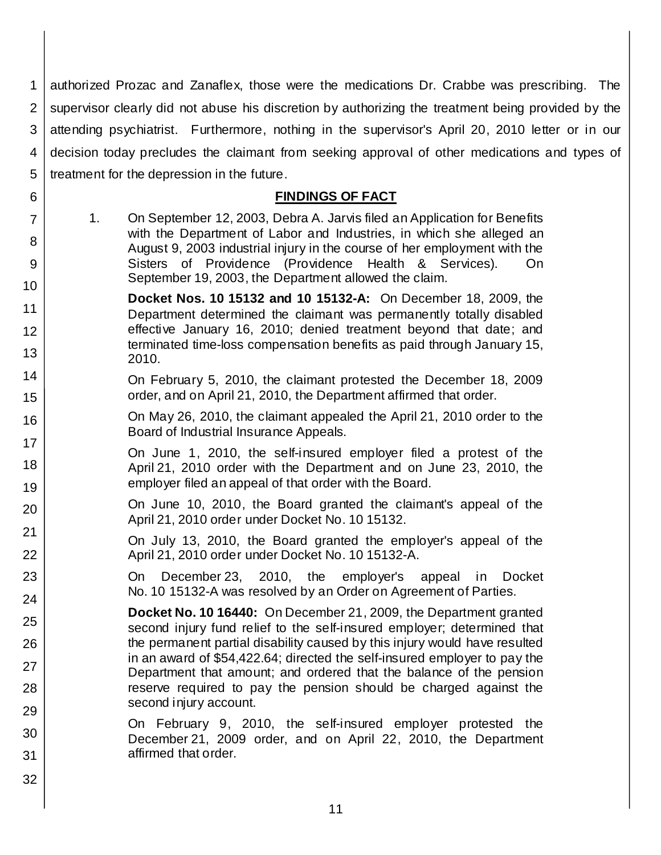1 2 3 4 5 authorized Prozac and Zanaflex, those were the medications Dr. Crabbe was prescribing. The supervisor clearly did not abuse his discretion by authorizing the treatment being provided by the attending psychiatrist. Furthermore, nothing in the supervisor's April 20, 2010 letter or in our decision today precludes the claimant from seeking approval of other medications and types of treatment for the depression in the future.

## **FINDINGS OF FACT**

- 1. On September 12, 2003, Debra A. Jarvis filed an Application for Benefits with the Department of Labor and Industries, in which she alleged an August 9, 2003 industrial injury in the course of her employment with the Sisters of Providence (Providence Health & Services). On September 19, 2003, the Department allowed the claim.
- 10 11 12 13 **Docket Nos. 10 15132 and 10 15132-A:** On December 18, 2009, the Department determined the claimant was permanently totally disabled effective January 16, 2010; denied treatment beyond that date; and terminated time-loss compensation benefits as paid through January 15, 2010.
	- On February 5, 2010, the claimant protested the December 18, 2009 order, and on April 21, 2010, the Department affirmed that order.
		- On May 26, 2010, the claimant appealed the April 21, 2010 order to the Board of Industrial Insurance Appeals.
		- On June 1, 2010, the self-insured employer filed a protest of the April 21, 2010 order with the Department and on June 23, 2010, the employer filed an appeal of that order with the Board.
		- On June 10, 2010, the Board granted the claimant's appeal of the April 21, 2010 order under Docket No. 10 15132.

On July 13, 2010, the Board granted the employer's appeal of the April 21, 2010 order under Docket No. 10 15132-A.

On December 23, 2010, the employer's appeal in Docket No. 10 15132-A was resolved by an Order on Agreement of Parties.

**Docket No. 10 16440:** On December 21, 2009, the Department granted second injury fund relief to the self-insured employer; determined that the permanent partial disability caused by this injury would have resulted in an award of \$54,422.64; directed the self-insured employer to pay the Department that amount; and ordered that the balance of the pension reserve required to pay the pension should be charged against the second injury account.

On February 9, 2010, the self-insured employer protested the December 21, 2009 order, and on April 22, 2010, the Department affirmed that order.

6

7

8

9

14

15

16

17

18

19

20

21

22

23

24

25

26

27

28

29

30

31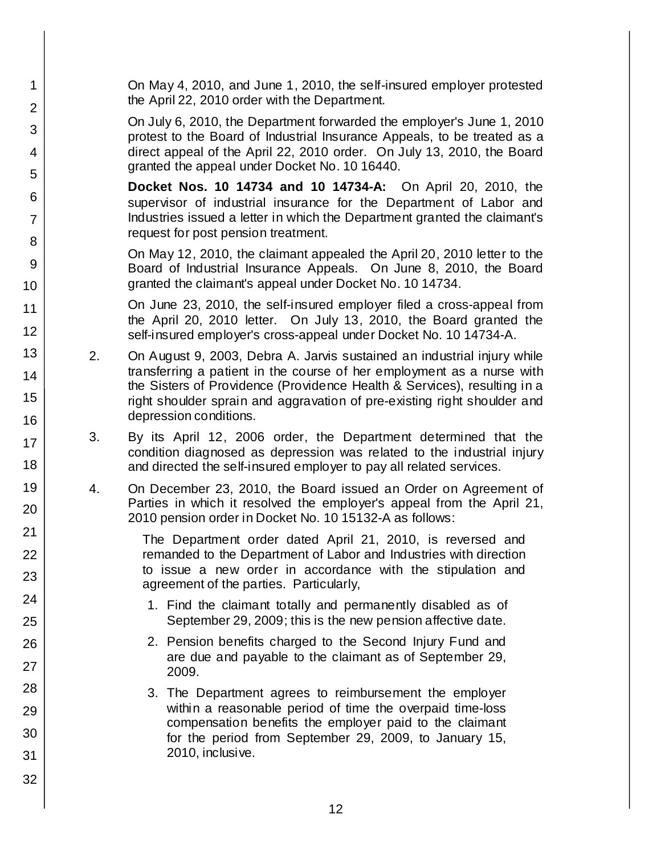| 1                   |    | On May 4, 2010, and June 1, 2010, the self-insured employer protested<br>the April 22, 2010 order with the Department.                                                                                                |
|---------------------|----|-----------------------------------------------------------------------------------------------------------------------------------------------------------------------------------------------------------------------|
| $\overline{2}$      |    | On July 6, 2010, the Department forwarded the employer's June 1, 2010                                                                                                                                                 |
| 3<br>$\overline{4}$ |    | protest to the Board of Industrial Insurance Appeals, to be treated as a<br>direct appeal of the April 22, 2010 order. On July 13, 2010, the Board                                                                    |
| 5                   |    | granted the appeal under Docket No. 10 16440.                                                                                                                                                                         |
| 6<br>$\overline{7}$ |    | <b>Docket Nos. 10 14734 and 10 14734-A:</b> On April 20, 2010, the<br>supervisor of industrial insurance for the Department of Labor and<br>Industries issued a letter in which the Department granted the claimant's |
|                     |    | request for post pension treatment.                                                                                                                                                                                   |
| 8<br>9              |    | On May 12, 2010, the claimant appealed the April 20, 2010 letter to the<br>Board of Industrial Insurance Appeals. On June 8, 2010, the Board                                                                          |
| 10                  |    | granted the claimant's appeal under Docket No. 10 14734.                                                                                                                                                              |
| 11                  |    | On June 23, 2010, the self-insured employer filed a cross-appeal from<br>the April 20, 2010 letter. On July 13, 2010, the Board granted the                                                                           |
| 12                  |    | self-insured employer's cross-appeal under Docket No. 10 14734-A.                                                                                                                                                     |
| 13                  | 2. | On August 9, 2003, Debra A. Jarvis sustained an industrial injury while                                                                                                                                               |
| 14                  |    | transferring a patient in the course of her employment as a nurse with<br>the Sisters of Providence (Providence Health & Services), resulting in a                                                                    |
| 15                  |    | right shoulder sprain and aggravation of pre-existing right shoulder and<br>depression conditions.                                                                                                                    |
| 16                  | 3. | By its April 12, 2006 order, the Department determined that the                                                                                                                                                       |
| 17<br>18            |    | condition diagnosed as depression was related to the industrial injury<br>and directed the self-insured employer to pay all related services.                                                                         |
| 19<br>20            | 4. | On December 23, 2010, the Board issued an Order on Agreement of<br>Parties in which it resolved the employer's appeal from the April 21,                                                                              |
| 21                  |    | 2010 pension order in Docket No. 10 15132-A as follows:                                                                                                                                                               |
| 22                  |    | The Department order dated April 21, 2010, is reversed and<br>remanded to the Department of Labor and Industries with direction                                                                                       |
| 23                  |    | to issue a new order in accordance with the stipulation and<br>agreement of the parties. Particularly,                                                                                                                |
| 24                  |    | 1. Find the claimant totally and permanently disabled as of                                                                                                                                                           |
| 25                  |    | September 29, 2009; this is the new pension affective date.                                                                                                                                                           |
| 26                  |    | 2. Pension benefits charged to the Second Injury Fund and                                                                                                                                                             |
| 27                  |    | are due and payable to the claimant as of September 29,<br>2009.                                                                                                                                                      |
| 28                  |    | 3. The Department agrees to reimbursement the employer                                                                                                                                                                |
| 29                  |    | within a reasonable period of time the overpaid time-loss                                                                                                                                                             |
| 30                  |    | compensation benefits the employer paid to the claimant<br>for the period from September 29, 2009, to January 15,                                                                                                     |
| 31                  |    | 2010, inclusive.                                                                                                                                                                                                      |
| 32                  |    |                                                                                                                                                                                                                       |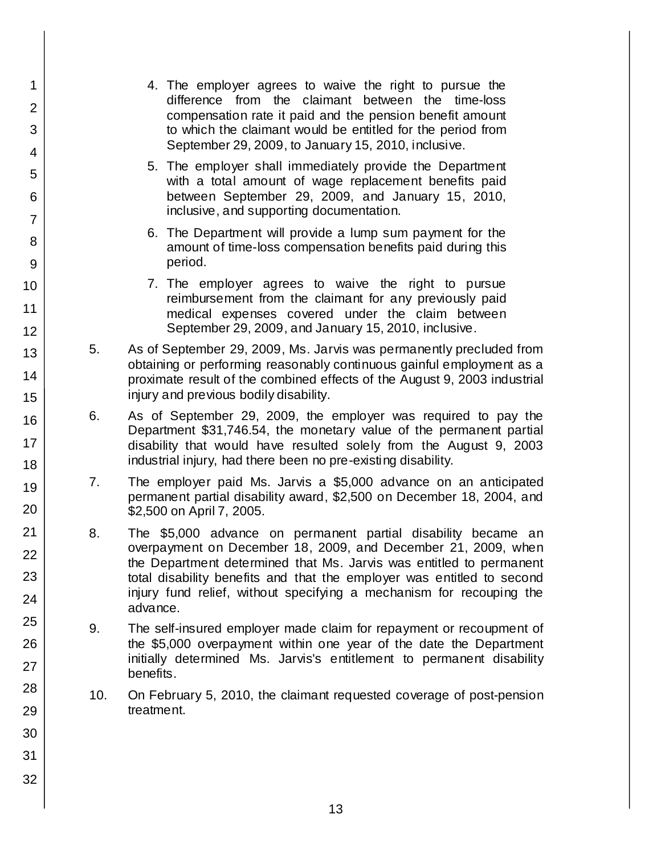1 2 3 4 5 6 7 8 9 10 11 12 13 14 15 16 17 18 19 20 21 22 23 24 25 26 27 28 29 30 31 32 4. The employer agrees to waive the right to pursue the difference from the claimant between the time-loss compensation rate it paid and the pension benefit amount to which the claimant would be entitled for the period from September 29, 2009, to January 15, 2010, inclusive. 5. The employer shall immediately provide the Department with a total amount of wage replacement benefits paid between September 29, 2009, and January 15, 2010, inclusive, and supporting documentation. 6. The Department will provide a lump sum payment for the amount of time-loss compensation benefits paid during this period. 7. The employer agrees to waive the right to pursue reimbursement from the claimant for any previously paid medical expenses covered under the claim between September 29, 2009, and January 15, 2010, inclusive. 5. As of September 29, 2009, Ms. Jarvis was permanently precluded from obtaining or performing reasonably continuous gainful employment as a proximate result of the combined effects of the August 9, 2003 industrial injury and previous bodily disability. 6. As of September 29, 2009, the employer was required to pay the Department \$31,746.54, the monetary value of the permanent partial disability that would have resulted solely from the August 9, 2003 industrial injury, had there been no pre-existing disability. 7. The employer paid Ms. Jarvis a \$5,000 advance on an anticipated permanent partial disability award, \$2,500 on December 18, 2004, and \$2,500 on April 7, 2005. 8. The \$5,000 advance on permanent partial disability became an overpayment on December 18, 2009, and December 21, 2009, when the Department determined that Ms. Jarvis was entitled to permanent total disability benefits and that the employer was entitled to second injury fund relief, without specifying a mechanism for recouping the advance. 9. The self-insured employer made claim for repayment or recoupment of the \$5,000 overpayment within one year of the date the Department initially determined Ms. Jarvis's entitlement to permanent disability benefits. 10. On February 5, 2010, the claimant requested coverage of post-pension treatment.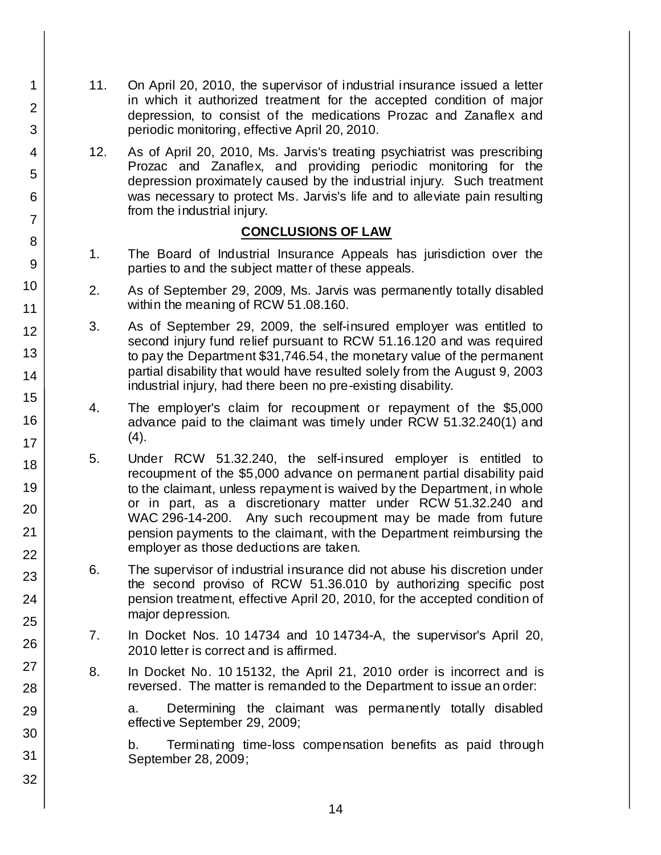- 11. On April 20, 2010, the supervisor of industrial insurance issued a letter in which it authorized treatment for the accepted condition of major depression, to consist of the medications Prozac and Zanaflex and periodic monitoring, effective April 20, 2010.
	- 12. As of April 20, 2010, Ms. Jarvis's treating psychiatrist was prescribing Prozac and Zanaflex, and providing periodic monitoring for the depression proximately caused by the industrial injury. Such treatment was necessary to protect Ms. Jarvis's life and to alleviate pain resulting from the industrial injury.

## **CONCLUSIONS OF LAW**

- 1. The Board of Industrial Insurance Appeals has jurisdiction over the parties to and the subject matter of these appeals.
- 2. As of September 29, 2009, Ms. Jarvis was permanently totally disabled within the meaning of RCW 51.08.160.
- 3. As of September 29, 2009, the self-insured employer was entitled to second injury fund relief pursuant to RCW 51.16.120 and was required to pay the Department \$31,746.54, the monetary value of the permanent partial disability that would have resulted solely from the August 9, 2003 industrial injury, had there been no pre-existing disability.
- 4. The employer's claim for recoupment or repayment of the \$5,000 advance paid to the claimant was timely under RCW 51.32.240(1) and (4).
- 5. Under RCW 51.32.240, the self-insured employer is entitled to recoupment of the \$5,000 advance on permanent partial disability paid to the claimant, unless repayment is waived by the Department, in whole or in part, as a discretionary matter under RCW 51.32.240 and WAC 296-14-200. Any such recoupment may be made from future pension payments to the claimant, with the Department reimbursing the employer as those deductions are taken.
- 6. The supervisor of industrial insurance did not abuse his discretion under the second proviso of RCW 51.36.010 by authorizing specific post pension treatment, effective April 20, 2010, for the accepted condition of major depression.
- 7. In Docket Nos. 10 14734 and 10 14734-A, the supervisor's April 20, 2010 letter is correct and is affirmed.
- 8. In Docket No. 10 15132, the April 21, 2010 order is incorrect and is reversed. The matter is remanded to the Department to issue an order:

a. Determining the claimant was permanently totally disabled effective September 29, 2009;

b. Terminating time-loss compensation benefits as paid through September 28, 2009;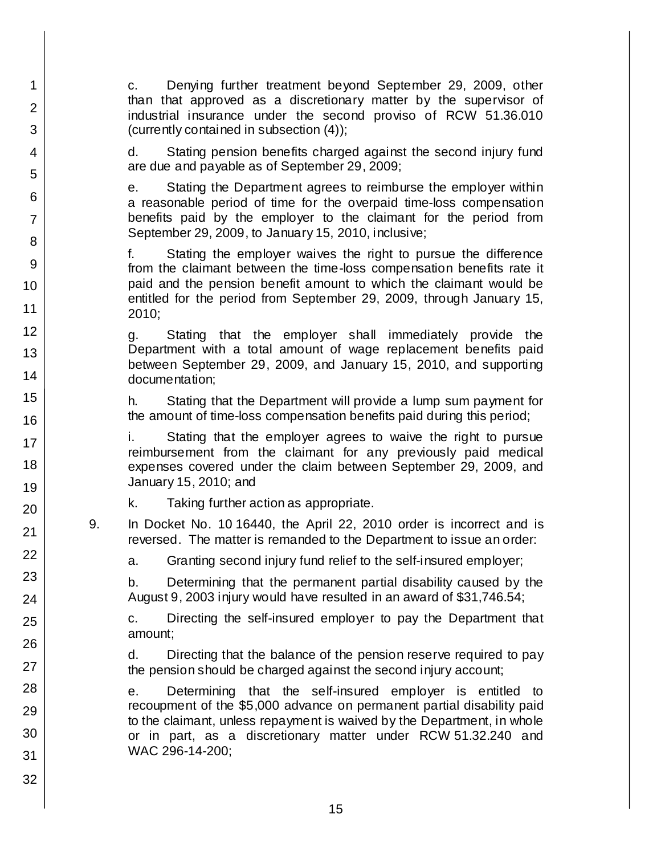c. Denying further treatment beyond September 29, 2009, other than that approved as a discretionary matter by the supervisor of industrial insurance under the second proviso of RCW 51.36.010 (currently contained in subsection (4));

d. Stating pension benefits charged against the second injury fund are due and payable as of September 29, 2009;

e. Stating the Department agrees to reimburse the employer within a reasonable period of time for the overpaid time-loss compensation benefits paid by the employer to the claimant for the period from September 29, 2009, to January 15, 2010, inclusive;

f. Stating the employer waives the right to pursue the difference from the claimant between the time-loss compensation benefits rate it paid and the pension benefit amount to which the claimant would be entitled for the period from September 29, 2009, through January 15, 2010;

g. Stating that the employer shall immediately provide the Department with a total amount of wage replacement benefits paid between September 29, 2009, and January 15, 2010, and supporting documentation;

h. Stating that the Department will provide a lump sum payment for the amount of time-loss compensation benefits paid during this period;

i. Stating that the employer agrees to waive the right to pursue reimbursement from the claimant for any previously paid medical expenses covered under the claim between September 29, 2009, and January 15, 2010; and

k. Taking further action as appropriate.

1

2

3

4

5

6

7

8

9

10

11

12 13

14

15

16

17

18

19

20

21

22

23

24

25

26

27

28

29

30

31

32

9. In Docket No. 10 16440, the April 22, 2010 order is incorrect and is reversed. The matter is remanded to the Department to issue an order:

a. Granting second injury fund relief to the self-insured employer;

b. Determining that the permanent partial disability caused by the August 9, 2003 injury would have resulted in an award of \$31,746.54;

c. Directing the self-insured employer to pay the Department that amount;

d. Directing that the balance of the pension reserve required to pay the pension should be charged against the second injury account;

e. Determining that the self-insured employer is entitled to recoupment of the \$5,000 advance on permanent partial disability paid to the claimant, unless repayment is waived by the Department, in whole or in part, as a discretionary matter under RCW 51.32.240 and WAC 296-14-200;